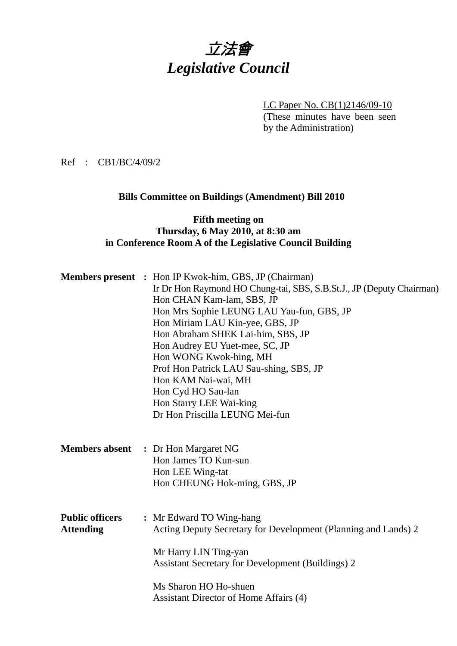# 立法會 *Legislative Council*

LC Paper No. CB(1)2146/09-10

(These minutes have been seen by the Administration)

Ref : CB1/BC/4/09/2

## **Bills Committee on Buildings (Amendment) Bill 2010**

#### **Fifth meeting on Thursday, 6 May 2010, at 8:30 am in Conference Room A of the Legislative Council Building**

|                        | <b>Members present</b> : Hon IP Kwok-him, GBS, JP (Chairman)         |
|------------------------|----------------------------------------------------------------------|
|                        | Ir Dr Hon Raymond HO Chung-tai, SBS, S.B.St.J., JP (Deputy Chairman) |
|                        | Hon CHAN Kam-lam, SBS, JP                                            |
|                        | Hon Mrs Sophie LEUNG LAU Yau-fun, GBS, JP                            |
|                        | Hon Miriam LAU Kin-yee, GBS, JP                                      |
|                        | Hon Abraham SHEK Lai-him, SBS, JP                                    |
|                        | Hon Audrey EU Yuet-mee, SC, JP                                       |
|                        | Hon WONG Kwok-hing, MH                                               |
|                        | Prof Hon Patrick LAU Sau-shing, SBS, JP                              |
|                        | Hon KAM Nai-wai, MH                                                  |
|                        | Hon Cyd HO Sau-lan                                                   |
|                        | Hon Starry LEE Wai-king                                              |
|                        | Dr Hon Priscilla LEUNG Mei-fun                                       |
|                        |                                                                      |
|                        | <b>Members absent</b> : Dr Hon Margaret NG                           |
|                        | Hon James TO Kun-sun                                                 |
|                        | Hon LEE Wing-tat                                                     |
|                        | Hon CHEUNG Hok-ming, GBS, JP                                         |
|                        |                                                                      |
| <b>Public officers</b> | : Mr Edward TO Wing-hang                                             |
| <b>Attending</b>       | Acting Deputy Secretary for Development (Planning and Lands) 2       |
|                        |                                                                      |
|                        | Mr Harry LIN Ting-yan                                                |
|                        | <b>Assistant Secretary for Development (Buildings) 2</b>             |
|                        |                                                                      |
|                        | Ms Sharon HO Ho-shuen                                                |
|                        | Assistant Director of Home Affairs (4)                               |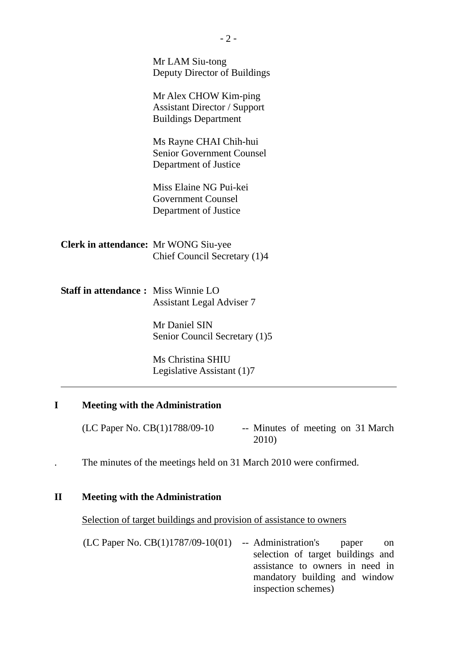| Mr LAM Siu-tong<br>Deputy Director of Buildings                                             |
|---------------------------------------------------------------------------------------------|
| Mr Alex CHOW Kim-ping<br><b>Assistant Director / Support</b><br><b>Buildings Department</b> |
| Ms Rayne CHAI Chih-hui<br><b>Senior Government Counsel</b><br>Department of Justice         |
| Miss Elaine NG Pui-kei<br><b>Government Counsel</b><br>Department of Justice                |
| <b>Clerk in attendance:</b> Mr WONG Siu-yee<br>Chief Council Secretary (1)4                 |
| <b>Staff in attendance: Miss Winnie LO</b><br><b>Assistant Legal Adviser 7</b>              |
| Mr Daniel SIN<br>Senior Council Secretary (1)5                                              |
| Ms Christina SHIU<br>Legislative Assistant (1)7                                             |
|                                                                                             |

## **I Meeting with the Administration**

 $(LC$  Paper No.  $CB(1)1788/09-10$  -- Minutes of meeting on 31 March 2010)

. The minutes of the meetings held on 31 March 2010 were confirmed.

#### **II Meeting with the Administration**

Selection of target buildings and provision of assistance to owners

(LC Paper No. CB(1)1787/09-10(01) -- Administration's paper on selection of target buildings and assistance to owners in need in mandatory building and window inspection schemes)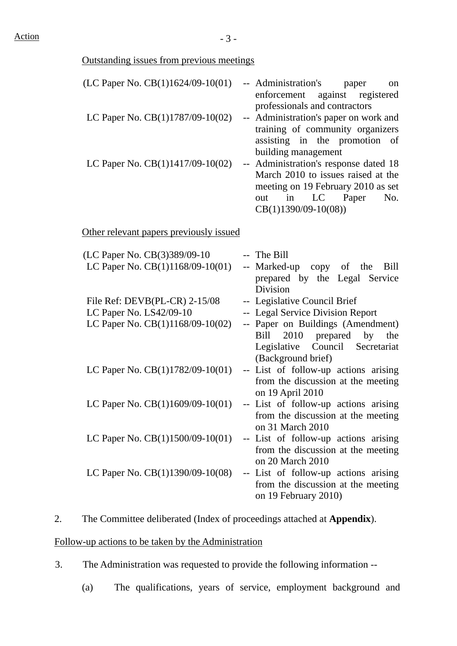| <b>Outstanding issues from previous meetings</b> |                                                                                                                                                                       |
|--------------------------------------------------|-----------------------------------------------------------------------------------------------------------------------------------------------------------------------|
| (LC Paper No. CB(1)1624/09-10(01)                | -- Administration's paper<br>on<br>against registered<br>enforcement<br>professionals and contractors                                                                 |
| LC Paper No. CB(1)1787/09-10(02)                 | -- Administration's paper on work and<br>training of community organizers<br>assisting in the promotion of<br>building management                                     |
| LC Paper No. CB(1)1417/09-10(02)                 | -- Administration's response dated 18<br>March 2010 to issues raised at the<br>meeting on 19 February 2010 as set<br>out in LC Paper<br>No.<br>$CB(1)1390/09-10(08))$ |
| Other relevant papers previously issued          |                                                                                                                                                                       |
| (LC Paper No. CB(3)389/09-10                     | -- The Bill                                                                                                                                                           |
| LC Paper No. CB(1)1168/09-10(01)                 | -- Marked-up copy of the<br>Bill<br>prepared by the Legal Service<br>Division                                                                                         |
| File Ref: $DEVB(PL-CR)$ 2-15/08                  | -- Legislative Council Brief                                                                                                                                          |
| LC Paper No. LS42/09-10                          | -- Legal Service Division Report                                                                                                                                      |
| LC Paper No. CB(1)1168/09-10(02)                 | -- Paper on Buildings (Amendment)<br>2010 prepared by<br>Bill<br>the<br>Council Secretariat<br>Legislative<br>(Background brief)                                      |
| LC Paper No. CB(1)1782/09-10(01)                 | -- List of follow-up actions arising<br>from the discussion at the meeting<br>on 19 April 2010                                                                        |
| LC Paper No. $CB(1)1609/09-10(01)$               | -- List of follow-up actions arising<br>from the discussion at the meeting<br>on 31 March 2010                                                                        |
| LC Paper No. CB(1)1500/09-10(01)                 | -- List of follow-up actions arising<br>from the discussion at the meeting<br>on 20 March 2010                                                                        |
| LC Paper No. $CB(1)1390/09-10(08)$               | -- List of follow-up actions arising<br>from the discussion at the meeting<br>on 19 February 2010)                                                                    |

# 2. The Committee deliberated (Index of proceedings attached at **Appendix**).

#### Follow-up actions to be taken by the Administration

- 3. The Administration was requested to provide the following information --
	- (a) The qualifications, years of service, employment background and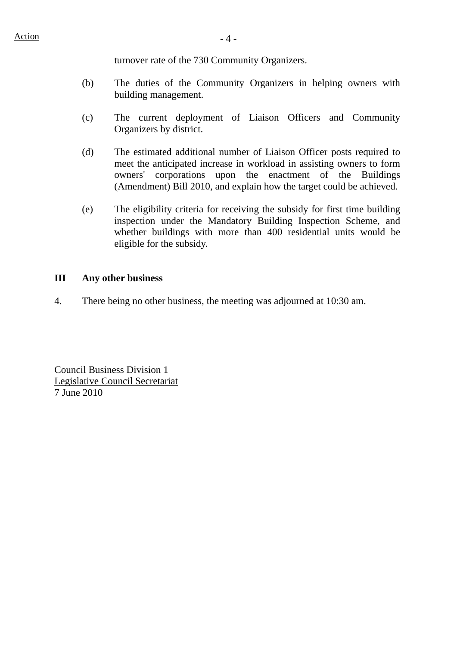turnover rate of the 730 Community Organizers.

- (b) The duties of the Community Organizers in helping owners with building management.
- (c) The current deployment of Liaison Officers and Community Organizers by district.
- (d) The estimated additional number of Liaison Officer posts required to meet the anticipated increase in workload in assisting owners to form owners' corporations upon the enactment of the Buildings (Amendment) Bill 2010, and explain how the target could be achieved.
- (e) The eligibility criteria for receiving the subsidy for first time building inspection under the Mandatory Building Inspection Scheme, and whether buildings with more than 400 residential units would be eligible for the subsidy.

#### **III Any other business**

4. There being no other business, the meeting was adjourned at 10:30 am.

Council Business Division 1 Legislative Council Secretariat 7 June 2010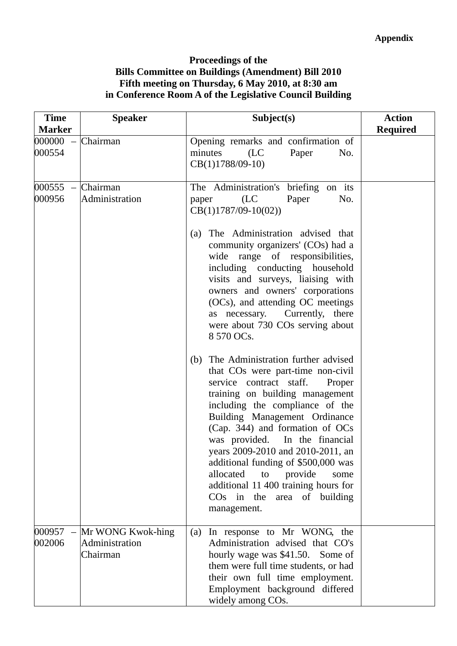### **Proceedings of the Bills Committee on Buildings (Amendment) Bill 2010 Fifth meeting on Thursday, 6 May 2010, at 8:30 am in Conference Room A of the Legislative Council Building**

| <b>Time</b><br><b>Marker</b> | <b>Speaker</b>                                  | Subject(s)                                                                                                                                                                                                                                                                                                                                                                                                                                                                                                                                                                                                                                                                                                                                                                                                                                                                                                                                                                    | <b>Action</b><br><b>Required</b> |
|------------------------------|-------------------------------------------------|-------------------------------------------------------------------------------------------------------------------------------------------------------------------------------------------------------------------------------------------------------------------------------------------------------------------------------------------------------------------------------------------------------------------------------------------------------------------------------------------------------------------------------------------------------------------------------------------------------------------------------------------------------------------------------------------------------------------------------------------------------------------------------------------------------------------------------------------------------------------------------------------------------------------------------------------------------------------------------|----------------------------------|
| $000000 -$<br>000554         | Chairman                                        | Opening remarks and confirmation of<br>minutes<br>(LC)<br>Paper<br>No.<br>$CB(1)1788/09-10$                                                                                                                                                                                                                                                                                                                                                                                                                                                                                                                                                                                                                                                                                                                                                                                                                                                                                   |                                  |
| $000555 -$<br>000956         | Chairman<br>Administration                      | The Administration's briefing on its<br>Paper<br>No.<br>(LC)<br>paper<br>$CB(1)1787/09-10(02))$<br>The Administration advised that<br>(a)<br>community organizers' (COs) had a<br>wide range of responsibilities,<br>including conducting household<br>visits and surveys, liaising with<br>owners and owners' corporations<br>(OCs), and attending OC meetings<br>Currently, there<br>as necessary.<br>were about 730 COs serving about<br>8 570 OCs.<br>The Administration further advised<br>(b)<br>that COs were part-time non-civil<br>service contract staff.<br>Proper<br>training on building management<br>including the compliance of the<br>Building Management Ordinance<br>(Cap. 344) and formation of OCs<br>was provided. In the financial<br>vears 2009-2010 and 2010-2011, an<br>additional funding of \$500,000 was<br>allocated<br>provide<br>to<br>some<br>additional 11 400 training hours for<br>CO <sub>s</sub> in the area of building<br>management. |                                  |
| 000957<br>002006             | Mr WONG Kwok-hing<br>Administration<br>Chairman | In response to Mr WONG, the<br>(a)<br>Administration advised that CO's<br>hourly wage was \$41.50. Some of<br>them were full time students, or had<br>their own full time employment.<br>Employment background differed<br>widely among COs.                                                                                                                                                                                                                                                                                                                                                                                                                                                                                                                                                                                                                                                                                                                                  |                                  |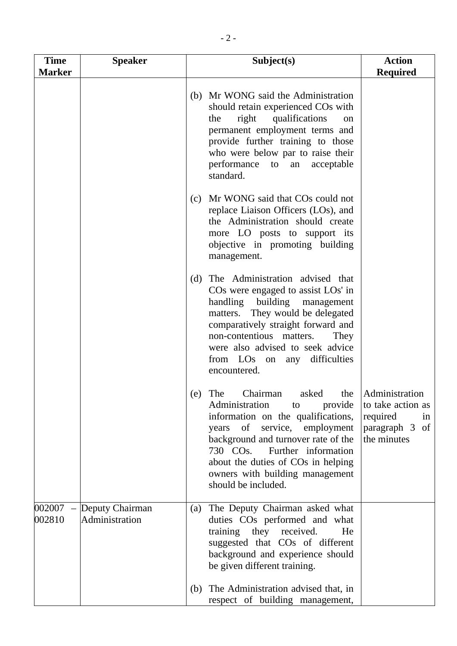| <b>Time</b><br><b>Marker</b> | <b>Speaker</b>                    | Subject(s)                                                                                                                                                                                                                                                                                                     | <b>Action</b><br><b>Required</b>                                                       |
|------------------------------|-----------------------------------|----------------------------------------------------------------------------------------------------------------------------------------------------------------------------------------------------------------------------------------------------------------------------------------------------------------|----------------------------------------------------------------------------------------|
|                              |                                   | (b) Mr WONG said the Administration<br>should retain experienced COs with<br>right qualifications<br>the<br>on<br>permanent employment terms and<br>provide further training to those<br>who were below par to raise their<br>performance to<br>acceptable<br>an<br>standard.                                  |                                                                                        |
|                              |                                   | Mr WONG said that COs could not<br>(c)<br>replace Liaison Officers (LOs), and<br>the Administration should create<br>more LO posts to support its<br>objective in promoting building<br>management.                                                                                                            |                                                                                        |
|                              |                                   | (d) The Administration advised that<br>COs were engaged to assist LOs' in<br>handling building management<br>matters. They would be delegated<br>comparatively straight forward and<br>non-contentious matters.<br>They<br>were also advised to seek advice<br>from LOs on any<br>difficulties<br>encountered. |                                                                                        |
|                              |                                   | (e) The Chairman asked the<br>Administration<br>provide<br>to<br>information on the qualifications,<br>years of service, employment<br>background and turnover rate of the<br>730 COs. Further information<br>about the duties of COs in helping<br>owners with building management<br>should be included.     | Administration<br>to take action as<br>required<br>in<br>paragraph 3 of<br>the minutes |
| 002007<br>002810             | Deputy Chairman<br>Administration | The Deputy Chairman asked what<br>(a)<br>duties COs performed and what<br>training they received.<br>He<br>suggested that COs of different<br>background and experience should<br>be given different training.                                                                                                 |                                                                                        |
|                              |                                   | The Administration advised that, in<br>(b)<br>respect of building management,                                                                                                                                                                                                                                  |                                                                                        |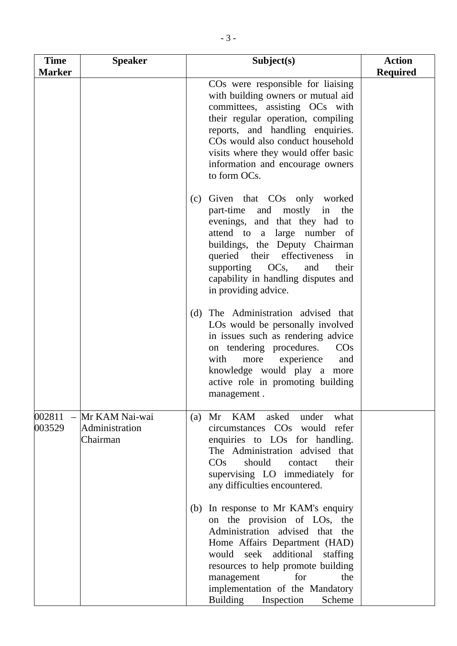| <b>Time</b><br><b>Marker</b> | <b>Speaker</b>                               | Subject(s)                                                                                                                                                                                                                                                                                                                         | <b>Action</b><br><b>Required</b> |
|------------------------------|----------------------------------------------|------------------------------------------------------------------------------------------------------------------------------------------------------------------------------------------------------------------------------------------------------------------------------------------------------------------------------------|----------------------------------|
|                              |                                              | CO <sub>s</sub> were responsible for liaising<br>with building owners or mutual aid<br>committees, assisting OCs with<br>their regular operation, compiling<br>reports, and handling enquiries.<br>COs would also conduct household<br>visits where they would offer basic<br>information and encourage owners<br>to form OCs.     |                                  |
|                              |                                              | Given that CO <sub>s</sub> only worked<br>(c)<br>mostly<br>part-time<br>and<br>the<br>in<br>evenings, and that they had to<br>attend to a large number of<br>buildings, the Deputy Chairman<br>queried their effectiveness<br>in<br>supporting OCs, and<br>their<br>capability in handling disputes and<br>in providing advice.    |                                  |
|                              |                                              | The Administration advised that<br>(d)<br>LOs would be personally involved<br>in issues such as rendering advice<br>on tendering procedures.<br>$\cos$<br>with<br>experience<br>more<br>and<br>knowledge would play a more<br>active role in promoting building<br>management.                                                     |                                  |
| 002811<br>003529             | Mr KAM Nai-wai<br>Administration<br>Chairman | KAM<br>Mr<br>asked<br>under<br>what<br>(a)<br>circumstances COs would refer<br>enquiries to LOs for handling.<br>The Administration advised that<br>$\cos$<br>should<br>contact<br>their<br>supervising LO immediately for<br>any difficulties encountered.                                                                        |                                  |
|                              |                                              | In response to Mr KAM's enquiry<br>(b)<br>on the provision of LOs, the<br>Administration advised that the<br>Home Affairs Department (HAD)<br>additional<br>would seek<br>staffing<br>resources to help promote building<br>management<br>for<br>the<br>implementation of the Mandatory<br><b>Building</b><br>Inspection<br>Scheme |                                  |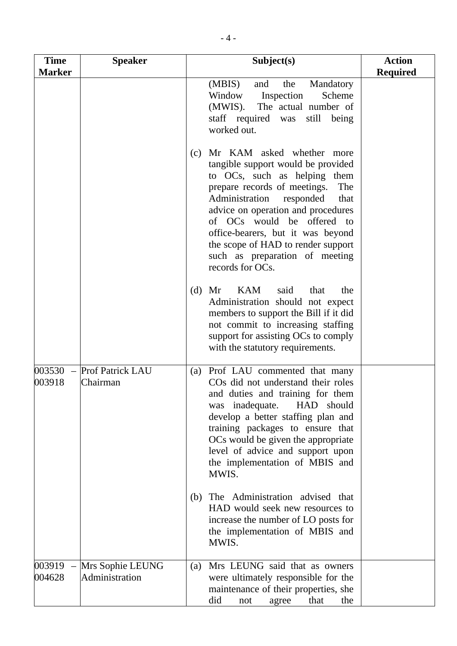| <b>Time</b><br><b>Marker</b>                 | <b>Speaker</b>                      | Subject(s)                                                                                                                                                                                                                                                                                                                                                                                | <b>Action</b><br><b>Required</b> |
|----------------------------------------------|-------------------------------------|-------------------------------------------------------------------------------------------------------------------------------------------------------------------------------------------------------------------------------------------------------------------------------------------------------------------------------------------------------------------------------------------|----------------------------------|
|                                              |                                     | (MBIS)<br>the<br>Mandatory<br>and<br>Window<br>Inspection<br>Scheme<br>(MWIS).<br>The actual number of<br>staff required was<br>still<br>being<br>worked out.                                                                                                                                                                                                                             |                                  |
|                                              |                                     | Mr KAM asked whether more<br>(c)<br>tangible support would be provided<br>to OCs, such as helping them<br>prepare records of meetings.<br>The<br>Administration<br>responded<br>that<br>advice on operation and procedures<br>of OCs would be offered to<br>office-bearers, but it was beyond<br>the scope of HAD to render support<br>such as preparation of meeting<br>records for OCs. |                                  |
|                                              |                                     | <b>KAM</b><br>said<br>(d)<br>Mr<br>that<br>the<br>Administration should not expect<br>members to support the Bill if it did<br>not commit to increasing staffing<br>support for assisting OCs to comply<br>with the statutory requirements.                                                                                                                                               |                                  |
| 003530<br>$\overline{\phantom{a}}$<br>003918 | <b>Prof Patrick LAU</b><br>Chairman | Prof LAU commented that many<br>(a)<br>CO <sub>s</sub> did not understand their roles<br>and duties and training for them<br>HAD should<br>was inadequate.<br>develop a better staffing plan and<br>training packages to ensure that<br>OCs would be given the appropriate<br>level of advice and support upon<br>the implementation of MBIS and<br>MWIS.                                 |                                  |
|                                              |                                     | (b) The Administration advised that<br>HAD would seek new resources to<br>increase the number of LO posts for<br>the implementation of MBIS and<br>MWIS.                                                                                                                                                                                                                                  |                                  |
| 003919<br>004628                             | Mrs Sophie LEUNG<br>Administration  | Mrs LEUNG said that as owners<br>(a)<br>were ultimately responsible for the<br>maintenance of their properties, she<br>did<br>the<br>that<br>not<br>agree                                                                                                                                                                                                                                 |                                  |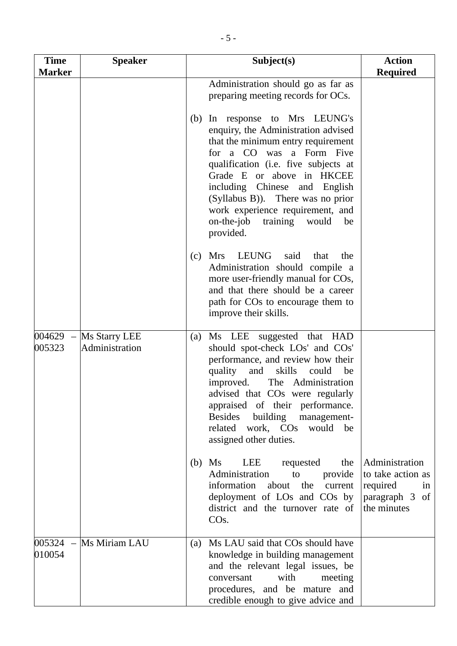| <b>Time</b><br><b>Marker</b> | <b>Speaker</b>                  | Subject(s)                                                                                                                                                                                                                                                                                                                                                                         | <b>Action</b><br><b>Required</b>                                                       |
|------------------------------|---------------------------------|------------------------------------------------------------------------------------------------------------------------------------------------------------------------------------------------------------------------------------------------------------------------------------------------------------------------------------------------------------------------------------|----------------------------------------------------------------------------------------|
|                              |                                 | Administration should go as far as<br>preparing meeting records for OCs.                                                                                                                                                                                                                                                                                                           |                                                                                        |
|                              |                                 | In response to Mrs LEUNG's<br>(b)<br>enquiry, the Administration advised<br>that the minimum entry requirement<br>for a CO was a Form Five<br>qualification (i.e. five subjects at<br>Grade E or above in HKCEE<br>including Chinese and English<br>(Syllabus B)). There was no prior<br>work experience requirement, and<br>$on$ -the-job<br>training<br>would<br>be<br>provided. |                                                                                        |
|                              |                                 | LEUNG<br><b>Mrs</b><br>said<br>the<br>(c)<br>that<br>Administration should compile a<br>more user-friendly manual for COs,<br>and that there should be a career<br>path for COs to encourage them to<br>improve their skills.                                                                                                                                                      |                                                                                        |
| $004629 -$<br>005323         | Ms Starry LEE<br>Administration | (a) Ms LEE suggested that HAD<br>should spot-check LOs' and COs'<br>performance, and review how their<br>skills<br>quality<br>and<br>could<br>be<br>improved.<br>The Administration<br>advised that COs were regularly<br>appraised of their performance.<br><b>Besides</b><br>building<br>management-<br>related work, COs would be<br>assigned other duties.                     |                                                                                        |
|                              |                                 | Ms<br>LEE<br>(b)<br>requested<br>the<br>Administration<br>to<br>provide<br>information<br>about<br>the<br>current<br>deployment of LOs and COs by<br>district and the turnover rate of<br>COS.                                                                                                                                                                                     | Administration<br>to take action as<br>required<br>in<br>paragraph 3 of<br>the minutes |
| $005324 -$<br>010054         | Ms Miriam LAU                   | Ms LAU said that COs should have<br>(a)<br>knowledge in building management<br>and the relevant legal issues, be<br>with<br>meeting<br>conversant<br>procedures, and be mature and<br>credible enough to give advice and                                                                                                                                                           |                                                                                        |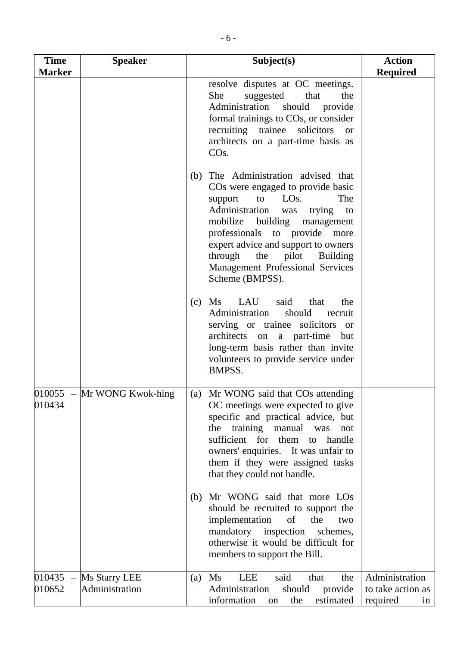| <b>Time</b><br><b>Marker</b> | <b>Speaker</b>                  | Subject(s)                                                                                                                                                                                                                                                                                                                                                 | <b>Action</b><br><b>Required</b>                      |
|------------------------------|---------------------------------|------------------------------------------------------------------------------------------------------------------------------------------------------------------------------------------------------------------------------------------------------------------------------------------------------------------------------------------------------------|-------------------------------------------------------|
|                              |                                 | resolve disputes at OC meetings.<br>suggested<br>that<br>She<br>the<br>Administration<br>should<br>provide<br>formal trainings to COs, or consider<br>recruiting trainee solicitors<br><b>or</b><br>architects on a part-time basis as<br>CO <sub>s</sub> .                                                                                                |                                                       |
|                              |                                 | The Administration advised that<br>(b)<br>COs were engaged to provide basic<br>LOS.<br>The<br>support<br>to<br>Administration<br>trying<br>was<br>to<br>mobilize building management<br>professionals to provide more<br>expert advice and support to owners<br>pilot<br>through<br>the<br>Building<br>Management Professional Services<br>Scheme (BMPSS). |                                                       |
|                              |                                 | Ms<br>LAU<br>said<br>that<br>(c)<br>the<br>Administration<br>should recruit<br>serving or trainee solicitors or<br>architects on<br>a part-time but<br>long-term basis rather than invite<br>volunteers to provide service under<br>BMPSS.                                                                                                                 |                                                       |
| 010434                       | $010055$ – Mr WONG Kwok-hing    | (a) Mr WONG said that COs attending<br>OC meetings were expected to give<br>specific and practical advice, but<br>the training manual was<br>not<br>sufficient for them to<br>handle<br>owners' enquiries. It was unfair to<br>them if they were assigned tasks<br>that they could not handle.                                                             |                                                       |
|                              |                                 | Mr WONG said that more LOs<br>(b)<br>should be recruited to support the<br>implementation<br>$\circ$ of<br>the<br>two<br>mandatory inspection<br>schemes,<br>otherwise it would be difficult for<br>members to support the Bill.                                                                                                                           |                                                       |
| $010435 -$<br>010652         | Ms Starry LEE<br>Administration | said<br>LEE<br>Ms<br>the<br>that<br>(a)<br>provide<br>Administration<br>should<br>information<br>estimated<br>the<br>on                                                                                                                                                                                                                                    | Administration<br>to take action as<br>required<br>in |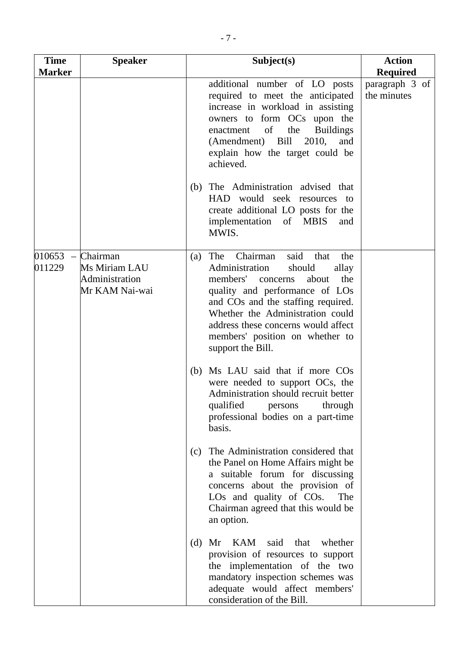| <b>Time</b>                                  | <b>Speaker</b>                                                | Subject(s)                                                                                                                                                                                                                                                                                                                            | <b>Action</b>                 |
|----------------------------------------------|---------------------------------------------------------------|---------------------------------------------------------------------------------------------------------------------------------------------------------------------------------------------------------------------------------------------------------------------------------------------------------------------------------------|-------------------------------|
| <b>Marker</b>                                |                                                               |                                                                                                                                                                                                                                                                                                                                       | <b>Required</b>               |
|                                              |                                                               | additional number of LO posts<br>required to meet the anticipated<br>increase in workload in assisting<br>owners to form OCs upon the<br>of<br>enactment<br>the<br><b>Buildings</b><br>Bill 2010,<br>(Amendment)<br>and<br>explain how the target could be<br>achieved.                                                               | paragraph 3 of<br>the minutes |
|                                              |                                                               | The Administration advised that<br>(b)<br>HAD would seek resources to<br>create additional LO posts for the<br>implementation of MBIS<br>and<br>MWIS.                                                                                                                                                                                 |                               |
| 010653<br>$\overline{\phantom{m}}$<br>011229 | Chairman<br>Ms Miriam LAU<br>Administration<br>Mr KAM Nai-wai | said<br>Chairman<br>The<br>the<br>that<br>(a)<br>Administration<br>should<br>allay<br>members'<br>the<br>about<br>concerns<br>quality and performance of LOs<br>and COs and the staffing required.<br>Whether the Administration could<br>address these concerns would affect<br>members' position on whether to<br>support the Bill. |                               |
|                                              |                                                               | Ms LAU said that if more COs<br>(b)<br>were needed to support OCs, the<br>Administration should recruit better<br>qualified<br>through<br>persons<br>professional bodies on a part-time<br>basis.                                                                                                                                     |                               |
|                                              |                                                               | The Administration considered that<br>(c)<br>the Panel on Home Affairs might be<br>a suitable forum for discussing<br>concerns about the provision of<br>LOs and quality of COs.<br>The<br>Chairman agreed that this would be<br>an option.                                                                                           |                               |
|                                              |                                                               | KAM said<br>that<br>whether<br>(d)<br>Mr<br>provision of resources to support<br>the implementation of the two<br>mandatory inspection schemes was<br>adequate would affect members'<br>consideration of the Bill.                                                                                                                    |                               |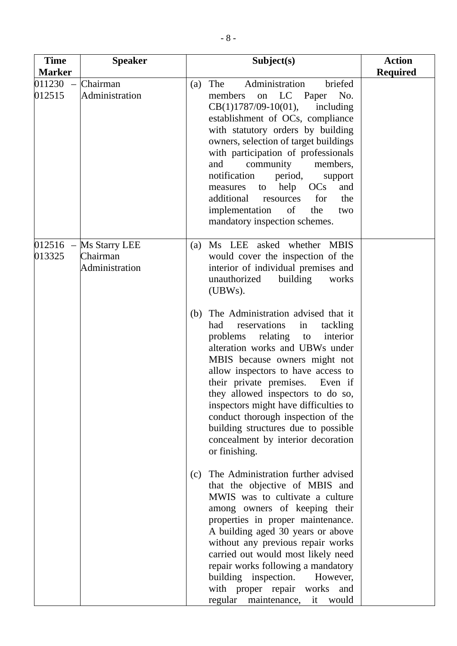| <b>Time</b>                                  | <b>Speaker</b>                              | Subject(s)                                                                                                                                                                                                                                                                                                                                                                                                                                                                                                                                                                                                                                               | <b>Action</b>   |
|----------------------------------------------|---------------------------------------------|----------------------------------------------------------------------------------------------------------------------------------------------------------------------------------------------------------------------------------------------------------------------------------------------------------------------------------------------------------------------------------------------------------------------------------------------------------------------------------------------------------------------------------------------------------------------------------------------------------------------------------------------------------|-----------------|
| <b>Marker</b>                                |                                             |                                                                                                                                                                                                                                                                                                                                                                                                                                                                                                                                                                                                                                                          | <b>Required</b> |
| 011230<br>$\overline{\phantom{a}}$<br>012515 | Chairman<br>Administration                  | Administration<br>The<br>briefed<br>(a)<br>LC Paper<br>members<br>No.<br>on<br>$CB(1)1787/09-10(01),$<br>including<br>establishment of OCs, compliance<br>with statutory orders by building<br>owners, selection of target buildings<br>with participation of professionals<br>community<br>members,<br>and<br>notification<br>period,<br>support<br>help<br>OC <sub>s</sub><br>and<br>measures<br>to<br>the<br>additional<br>resources<br>for<br>implementation<br>of<br>the<br>two<br>mandatory inspection schemes.                                                                                                                                    |                 |
| $012516 -$<br>013325                         | Ms Starry LEE<br>Chairman<br>Administration | Ms LEE asked whether MBIS<br>(a)<br>would cover the inspection of the<br>interior of individual premises and<br>unauthorized<br>building<br>works<br>(UBWs).<br>The Administration advised that it<br>(b)<br>reservations<br>had<br>tackling<br>in<br>relating to<br>problems<br>interior<br>alteration works and UBWs under<br>MBIS because owners might not<br>allow inspectors to have access to<br>their private premises. Even if<br>they allowed inspectors to do so,<br>inspectors might have difficulties to<br>conduct thorough inspection of the<br>building structures due to possible<br>concealment by interior decoration<br>or finishing. |                 |
|                                              |                                             | The Administration further advised<br>(c)<br>that the objective of MBIS and<br>MWIS was to cultivate a culture<br>among owners of keeping their<br>properties in proper maintenance.<br>A building aged 30 years or above<br>without any previous repair works<br>carried out would most likely need<br>repair works following a mandatory<br>building inspection.<br>However,<br>with proper repair works and<br>regular maintenance, it would                                                                                                                                                                                                          |                 |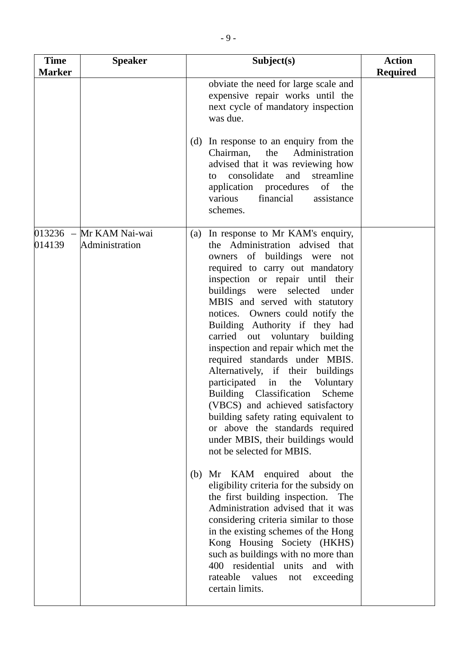| <b>Time</b><br><b>Marker</b> | <b>Speaker</b> | Subject(s)                                                                                                                                                                                                                                                                                                                                                                                                                                                                                                                                                                                                                                                                                                                                                                                                                                                                                                                                                                                                                                                                                                               | <b>Action</b><br><b>Required</b> |
|------------------------------|----------------|--------------------------------------------------------------------------------------------------------------------------------------------------------------------------------------------------------------------------------------------------------------------------------------------------------------------------------------------------------------------------------------------------------------------------------------------------------------------------------------------------------------------------------------------------------------------------------------------------------------------------------------------------------------------------------------------------------------------------------------------------------------------------------------------------------------------------------------------------------------------------------------------------------------------------------------------------------------------------------------------------------------------------------------------------------------------------------------------------------------------------|----------------------------------|
|                              |                | obviate the need for large scale and<br>expensive repair works until the<br>next cycle of mandatory inspection<br>was due.<br>In response to an enquiry from the<br>(d)<br>the<br>Administration<br>Chairman,<br>advised that it was reviewing how<br>consolidate<br>and streamline<br>to<br>application procedures<br>of the                                                                                                                                                                                                                                                                                                                                                                                                                                                                                                                                                                                                                                                                                                                                                                                            |                                  |
| $013236 -$                   | Mr KAM Nai-wai | various<br>financial<br>assistance<br>schemes.<br>In response to Mr KAM's enquiry,<br>(a)                                                                                                                                                                                                                                                                                                                                                                                                                                                                                                                                                                                                                                                                                                                                                                                                                                                                                                                                                                                                                                |                                  |
| 014139                       | Administration | the Administration advised that<br>owners of buildings were not<br>required to carry out mandatory<br>inspection or repair until their<br>buildings were selected<br>under<br>MBIS and served with statutory<br>notices. Owners could notify the<br>Building Authority if they had<br>carried out voluntary building<br>inspection and repair which met the<br>required standards under MBIS.<br>Alternatively, if their<br>buildings<br>participated in<br>the<br>Voluntary<br>Building Classification<br>Scheme<br>(VBCS) and achieved satisfactory<br>building safety rating equivalent to<br>or above the standards required<br>under MBIS, their buildings would<br>not be selected for MBIS.<br>Mr KAM enquired about<br>(b)<br>the<br>eligibility criteria for the subsidy on<br>the first building inspection.<br>The<br>Administration advised that it was<br>considering criteria similar to those<br>in the existing schemes of the Hong<br>Kong Housing Society (HKHS)<br>such as buildings with no more than<br>400 residential units<br>and with<br>rateable values<br>exceeding<br>not<br>certain limits. |                                  |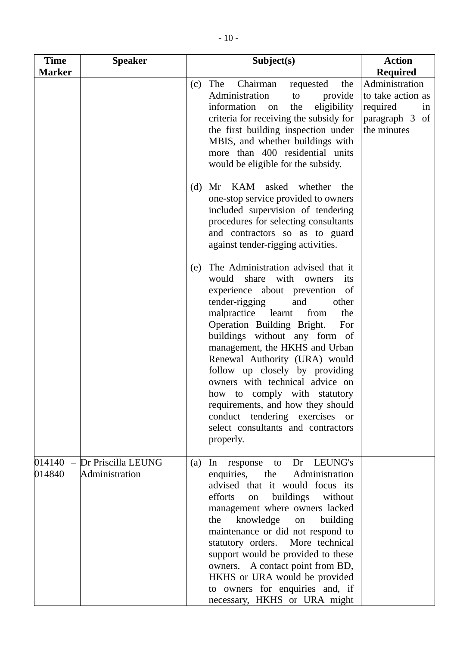| <b>Time</b>                       | <b>Speaker</b>                       | Subject(s)                                                                                                                                                                                                                                                                                                                                                                                                                                                                                                                                                      | <b>Action</b>                                                                          |
|-----------------------------------|--------------------------------------|-----------------------------------------------------------------------------------------------------------------------------------------------------------------------------------------------------------------------------------------------------------------------------------------------------------------------------------------------------------------------------------------------------------------------------------------------------------------------------------------------------------------------------------------------------------------|----------------------------------------------------------------------------------------|
| <b>Marker</b>                     |                                      |                                                                                                                                                                                                                                                                                                                                                                                                                                                                                                                                                                 | <b>Required</b>                                                                        |
|                                   |                                      | Chairman<br>The<br>the<br>(c)<br>requested<br>Administration<br>provide<br>to<br>eligibility<br>information<br>the<br>on<br>criteria for receiving the subsidy for<br>the first building inspection under<br>MBIS, and whether buildings with<br>more than 400 residential units<br>would be eligible for the subsidy.                                                                                                                                                                                                                                          | Administration<br>to take action as<br>required<br>in<br>paragraph 3 of<br>the minutes |
|                                   |                                      | Mr KAM asked whether the<br>(d)<br>one-stop service provided to owners<br>included supervision of tendering<br>procedures for selecting consultants<br>and contractors so as to guard<br>against tender-rigging activities.                                                                                                                                                                                                                                                                                                                                     |                                                                                        |
|                                   |                                      | The Administration advised that it<br>(e)<br>would share with<br>owners<br>its<br>experience about prevention of<br>tender-rigging<br>and<br>other<br>malpractice learnt<br>the<br>from<br>Operation Building Bright.<br>For<br>buildings without any form of<br>management, the HKHS and Urban<br>Renewal Authority (URA) would<br>follow up closely by providing<br>owners with technical advice on<br>how to comply with statutory<br>requirements, and how they should<br>conduct tendering exercises or<br>select consultants and contractors<br>properly. |                                                                                        |
| 014140<br>$\frac{1}{2}$<br>014840 | Dr Priscilla LEUNG<br>Administration | Dr LEUNG's<br>In<br>(a)<br>response<br>to<br>the Administration<br>enquiries,<br>advised that it would focus its<br>efforts<br>buildings<br>on<br>without<br>management where owners lacked<br>the knowledge<br>building<br>on<br>maintenance or did not respond to<br>statutory orders. More technical<br>support would be provided to these<br>owners. A contact point from BD,<br>HKHS or URA would be provided<br>to owners for enquiries and, if<br>necessary, HKHS or URA might                                                                           |                                                                                        |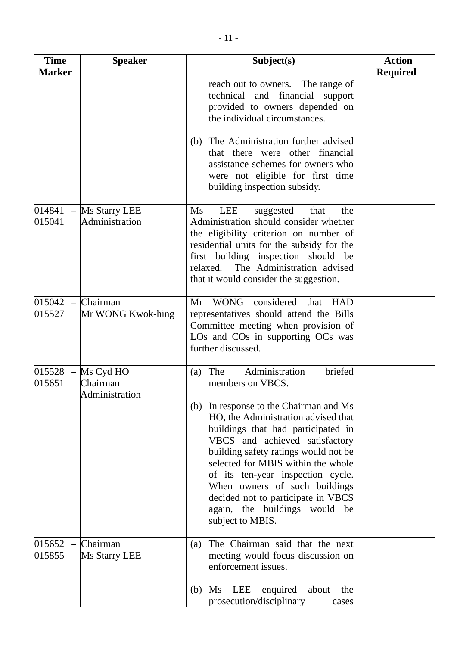| <b>Time</b><br><b>Marker</b> | <b>Speaker</b>                          | Subject(s)                                                                                                                                                                                                                                                                                                                                                                                                                                                          | <b>Action</b><br><b>Required</b> |
|------------------------------|-----------------------------------------|---------------------------------------------------------------------------------------------------------------------------------------------------------------------------------------------------------------------------------------------------------------------------------------------------------------------------------------------------------------------------------------------------------------------------------------------------------------------|----------------------------------|
|                              |                                         | reach out to owners. The range of<br>technical and<br>financial<br>support<br>provided to owners depended on<br>the individual circumstances.                                                                                                                                                                                                                                                                                                                       |                                  |
|                              |                                         | The Administration further advised<br>(b)<br>that there were other financial<br>assistance schemes for owners who<br>were not eligible for first time<br>building inspection subsidy.                                                                                                                                                                                                                                                                               |                                  |
| 014841<br>015041             | Ms Starry LEE<br>Administration         | Ms<br><b>LEE</b><br>suggested<br>that<br>the<br>Administration should consider whether<br>the eligibility criterion on number of<br>residential units for the subsidy for the<br>first building inspection should be<br>The Administration advised<br>relaxed.<br>that it would consider the suggestion.                                                                                                                                                            |                                  |
| 015042<br>015527             | Chairman<br>Mr WONG Kwok-hing           | considered<br><b>WONG</b><br>Mr<br>that<br><b>HAD</b><br>representatives should attend the Bills<br>Committee meeting when provision of<br>LOs and COs in supporting OCs was<br>further discussed.                                                                                                                                                                                                                                                                  |                                  |
| 015528<br>015651             | Ms Cyd HO<br>Chairman<br>Administration | Administration<br>briefed<br>The<br>(a)<br>members on VBCS.<br>(b) In response to the Chairman and Ms<br>HO, the Administration advised that<br>buildings that had participated in<br>VBCS and achieved satisfactory<br>building safety ratings would not be<br>selected for MBIS within the whole<br>of its ten-year inspection cycle.<br>When owners of such buildings<br>decided not to participate in VBCS<br>again, the buildings would be<br>subject to MBIS. |                                  |
| 015652<br>015855             | Chairman<br><b>Ms Starry LEE</b>        | The Chairman said that the next<br>(a)<br>meeting would focus discussion on<br>enforcement issues.<br>LEE<br>enquired<br>about<br>(b)<br>Ms<br>the                                                                                                                                                                                                                                                                                                                  |                                  |
|                              |                                         | prosecution/disciplinary<br>cases                                                                                                                                                                                                                                                                                                                                                                                                                                   |                                  |